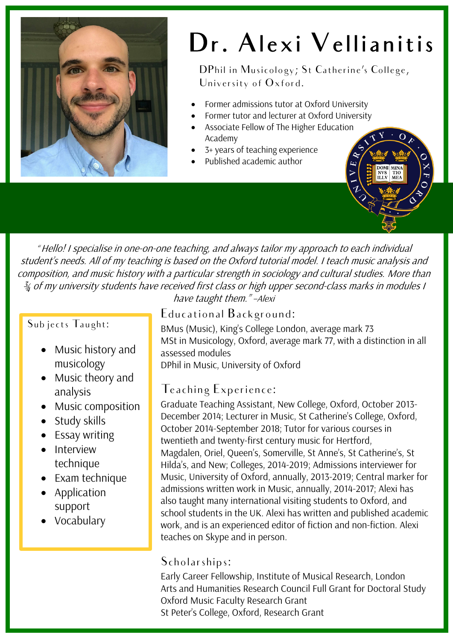

# Dr. Alexi Vellianitis

DPhil in Musicology; St Catherine's College, University of Oxford.

- Former admissions tutor at Oxford University
	- Former tutor and lecturer at Oxford University
- Associate Fellow of The Higher Education Academy
- 3+ years of teaching experience
- Published academic author



" Hello! I specialise in one-on-one teaching, and always tailor my approach to each individual student's needs. All of my teaching is based on the Oxford tutorial model. I teach music analysis and composition, and music history with a particular strength in sociology and cultural studies. More than  $\frac{3}{4}$  of my university students have received first class or high upper second-class marks in modules I

#### Subjects Taught:

- Music history and musicology
- Music theory and analysis
- Music composition
- Study skills
- Essay writing
- Interview technique
- Exam technique
- Application support
- Vocabulary

have taught them." –Alexi

#### Educational Background:

BMus (Music), King's College London, average mark 73 MSt in Musicology, Oxford, average mark 77, with a distinction in all assessed modules

DPhil in Music, University of Oxford

### Teaching Experience:

Graduate Teaching Assistant, New College, Oxford, October 2013- December 2014; Lecturer in Music, St Catherine's College, Oxford, October 2014-September 2018; Tutor for various courses in twentieth and twenty-first century music for Hertford, Magdalen, Oriel, Queen's, Somerville, St Anne's, St Catherine's, St Hilda's, and New; Colleges, 2014-2019; Admissions interviewer for Music, University of Oxford, annually, 2013-2019; Central marker for admissions written work in Music, annually, 2014-2017; Alexi has also taught many international visiting students to Oxford, and school students in the UK. Alexi has written and published academic work, and is an experienced editor of fiction and non-fiction. Alexi teaches on Skype and in person.

#### Scholarships:

Early Career Fellowship, Institute of Musical Research, London Arts and Humanities Research Council Full Grant for Doctoral Study Oxford Music Faculty Research Grant St Peter's College, Oxford, Research Grant